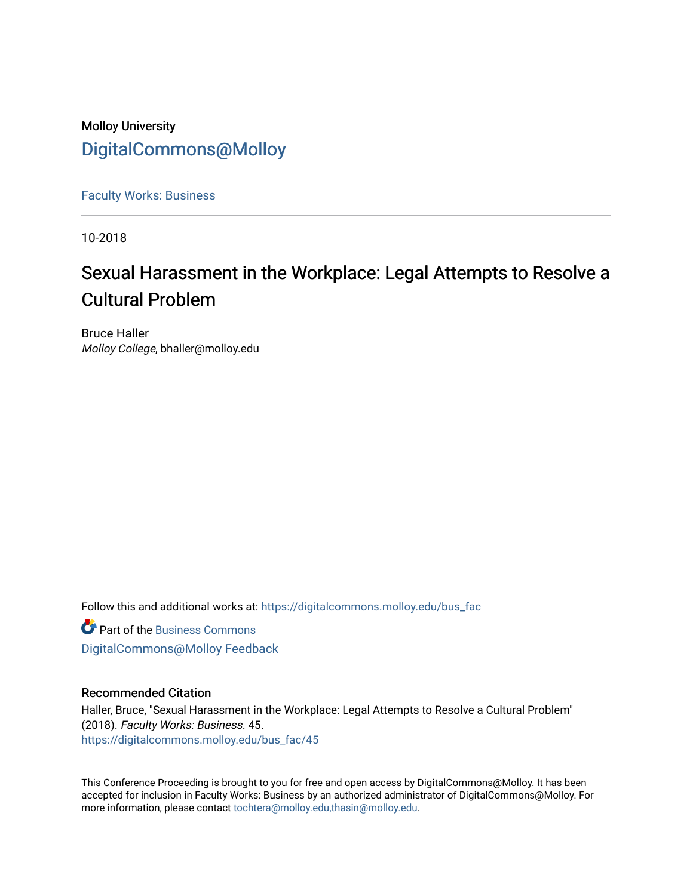### Molloy University [DigitalCommons@Molloy](https://digitalcommons.molloy.edu/)

[Faculty Works: Business](https://digitalcommons.molloy.edu/bus_fac) 

10-2018

## Sexual Harassment in the Workplace: Legal Attempts to Resolve a Cultural Problem

Bruce Haller Molloy College, bhaller@molloy.edu

Follow this and additional works at: [https://digitalcommons.molloy.edu/bus\\_fac](https://digitalcommons.molloy.edu/bus_fac?utm_source=digitalcommons.molloy.edu%2Fbus_fac%2F45&utm_medium=PDF&utm_campaign=PDFCoverPages)

**C** Part of the [Business Commons](https://network.bepress.com/hgg/discipline/622?utm_source=digitalcommons.molloy.edu%2Fbus_fac%2F45&utm_medium=PDF&utm_campaign=PDFCoverPages) [DigitalCommons@Molloy Feedback](https://molloy.libwizard.com/f/dcfeedback)

#### Recommended Citation

Haller, Bruce, "Sexual Harassment in the Workplace: Legal Attempts to Resolve a Cultural Problem" (2018). Faculty Works: Business. 45. [https://digitalcommons.molloy.edu/bus\\_fac/45](https://digitalcommons.molloy.edu/bus_fac/45?utm_source=digitalcommons.molloy.edu%2Fbus_fac%2F45&utm_medium=PDF&utm_campaign=PDFCoverPages) 

This Conference Proceeding is brought to you for free and open access by DigitalCommons@Molloy. It has been accepted for inclusion in Faculty Works: Business by an authorized administrator of DigitalCommons@Molloy. For more information, please contact [tochtera@molloy.edu,thasin@molloy.edu.](mailto:tochtera@molloy.edu,thasin@molloy.edu)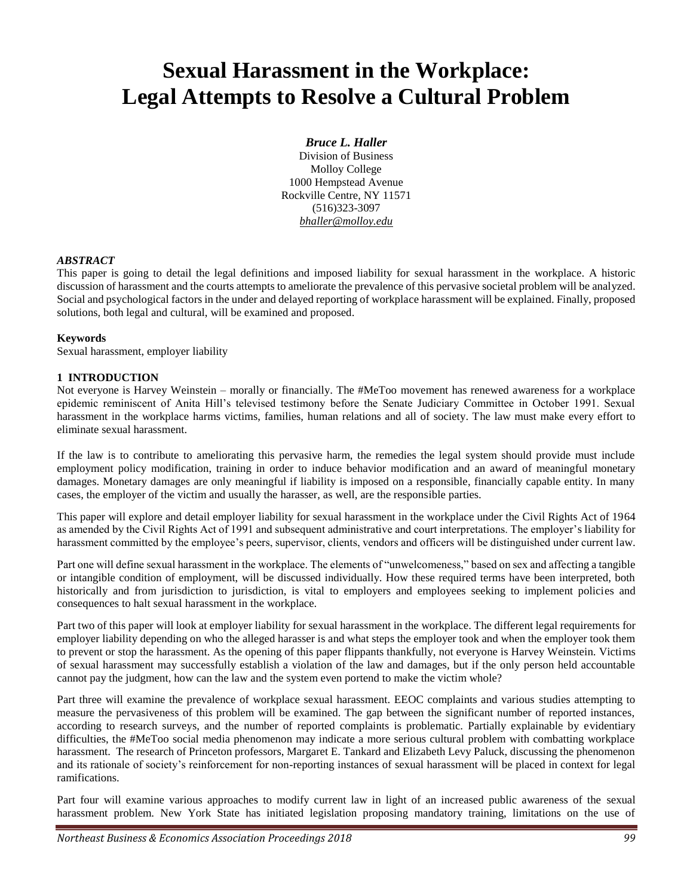# **Sexual Harassment in the Workplace: Legal Attempts to Resolve a Cultural Problem**

#### *Bruce L. Haller*

Division of Business Molloy College 1000 Hempstead Avenue Rockville Centre, NY 11571 (516)323-3097 *bhaller@molloy.edu*

#### *ABSTRACT*

This paper is going to detail the legal definitions and imposed liability for sexual harassment in the workplace. A historic discussion of harassment and the courts attempts to ameliorate the prevalence of this pervasive societal problem will be analyzed. Social and psychological factors in the under and delayed reporting of workplace harassment will be explained. Finally, proposed solutions, both legal and cultural, will be examined and proposed.

#### **Keywords**

Sexual harassment, employer liability

#### **1 INTRODUCTION**

Not everyone is Harvey Weinstein – morally or financially. The #MeToo movement has renewed awareness for a workplace epidemic reminiscent of Anita Hill's televised testimony before the Senate Judiciary Committee in October 1991. Sexual harassment in the workplace harms victims, families, human relations and all of society. The law must make every effort to eliminate sexual harassment.

If the law is to contribute to ameliorating this pervasive harm, the remedies the legal system should provide must include employment policy modification, training in order to induce behavior modification and an award of meaningful monetary damages. Monetary damages are only meaningful if liability is imposed on a responsible, financially capable entity. In many cases, the employer of the victim and usually the harasser, as well, are the responsible parties.

This paper will explore and detail employer liability for sexual harassment in the workplace under the Civil Rights Act of 1964 as amended by the Civil Rights Act of 1991 and subsequent administrative and court interpretations. The employer's liability for harassment committed by the employee's peers, supervisor, clients, vendors and officers will be distinguished under current law.

Part one will define sexual harassment in the workplace. The elements of "unwelcomeness," based on sex and affecting a tangible or intangible condition of employment, will be discussed individually. How these required terms have been interpreted, both historically and from jurisdiction to jurisdiction, is vital to employers and employees seeking to implement policies and consequences to halt sexual harassment in the workplace.

Part two of this paper will look at employer liability for sexual harassment in the workplace. The different legal requirements for employer liability depending on who the alleged harasser is and what steps the employer took and when the employer took them to prevent or stop the harassment. As the opening of this paper flippants thankfully, not everyone is Harvey Weinstein. Victims of sexual harassment may successfully establish a violation of the law and damages, but if the only person held accountable cannot pay the judgment, how can the law and the system even portend to make the victim whole?

Part three will examine the prevalence of workplace sexual harassment. EEOC complaints and various studies attempting to measure the pervasiveness of this problem will be examined. The gap between the significant number of reported instances, according to research surveys, and the number of reported complaints is problematic. Partially explainable by evidentiary difficulties, the #MeToo social media phenomenon may indicate a more serious cultural problem with combatting workplace harassment. The research of Princeton professors, Margaret E. Tankard and Elizabeth Levy Paluck, discussing the phenomenon and its rationale of society's reinforcement for non-reporting instances of sexual harassment will be placed in context for legal ramifications.

Part four will examine various approaches to modify current law in light of an increased public awareness of the sexual harassment problem. New York State has initiated legislation proposing mandatory training, limitations on the use of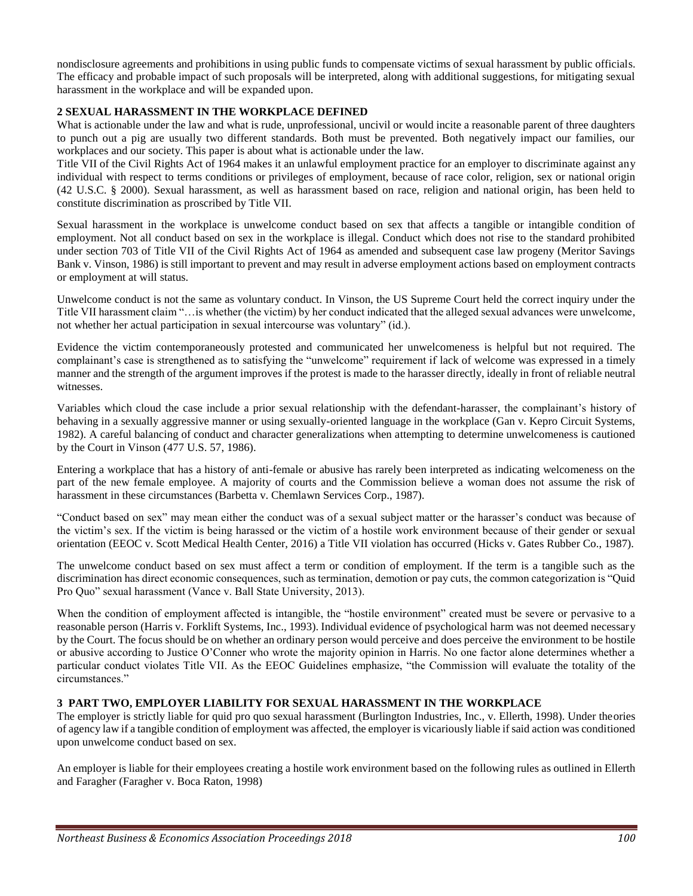nondisclosure agreements and prohibitions in using public funds to compensate victims of sexual harassment by public officials. The efficacy and probable impact of such proposals will be interpreted, along with additional suggestions, for mitigating sexual harassment in the workplace and will be expanded upon.

#### **2 SEXUAL HARASSMENT IN THE WORKPLACE DEFINED**

What is actionable under the law and what is rude, unprofessional, uncivil or would incite a reasonable parent of three daughters to punch out a pig are usually two different standards. Both must be prevented. Both negatively impact our families, our workplaces and our society. This paper is about what is actionable under the law.

Title VII of the Civil Rights Act of 1964 makes it an unlawful employment practice for an employer to discriminate against any individual with respect to terms conditions or privileges of employment, because of race color, religion, sex or national origin (42 U.S.C. § 2000). Sexual harassment, as well as harassment based on race, religion and national origin, has been held to constitute discrimination as proscribed by Title VII.

Sexual harassment in the workplace is unwelcome conduct based on sex that affects a tangible or intangible condition of employment. Not all conduct based on sex in the workplace is illegal. Conduct which does not rise to the standard prohibited under section 703 of Title VII of the Civil Rights Act of 1964 as amended and subsequent case law progeny (Meritor Savings Bank v. Vinson, 1986) is still important to prevent and may result in adverse employment actions based on employment contracts or employment at will status.

Unwelcome conduct is not the same as voluntary conduct. In Vinson, the US Supreme Court held the correct inquiry under the Title VII harassment claim "…is whether (the victim) by her conduct indicated that the alleged sexual advances were unwelcome, not whether her actual participation in sexual intercourse was voluntary" (id.).

Evidence the victim contemporaneously protested and communicated her unwelcomeness is helpful but not required. The complainant's case is strengthened as to satisfying the "unwelcome" requirement if lack of welcome was expressed in a timely manner and the strength of the argument improves if the protest is made to the harasser directly, ideally in front of reliable neutral witnesses.

Variables which cloud the case include a prior sexual relationship with the defendant-harasser, the complainant's history of behaving in a sexually aggressive manner or using sexually-oriented language in the workplace (Gan v. Kepro Circuit Systems, 1982). A careful balancing of conduct and character generalizations when attempting to determine unwelcomeness is cautioned by the Court in Vinson (477 U.S. 57, 1986).

Entering a workplace that has a history of anti-female or abusive has rarely been interpreted as indicating welcomeness on the part of the new female employee. A majority of courts and the Commission believe a woman does not assume the risk of harassment in these circumstances (Barbetta v. Chemlawn Services Corp., 1987).

"Conduct based on sex" may mean either the conduct was of a sexual subject matter or the harasser's conduct was because of the victim's sex. If the victim is being harassed or the victim of a hostile work environment because of their gender or sexual orientation (EEOC v. Scott Medical Health Center, 2016) a Title VII violation has occurred (Hicks v. Gates Rubber Co., 1987).

The unwelcome conduct based on sex must affect a term or condition of employment. If the term is a tangible such as the discrimination has direct economic consequences, such as termination, demotion or pay cuts, the common categorization is "Quid Pro Quo" sexual harassment (Vance v. Ball State University, 2013).

When the condition of employment affected is intangible, the "hostile environment" created must be severe or pervasive to a reasonable person (Harris v. Forklift Systems, Inc., 1993). Individual evidence of psychological harm was not deemed necessary by the Court. The focus should be on whether an ordinary person would perceive and does perceive the environment to be hostile or abusive according to Justice O'Conner who wrote the majority opinion in Harris. No one factor alone determines whether a particular conduct violates Title VII. As the EEOC Guidelines emphasize, "the Commission will evaluate the totality of the circumstances."

#### **3 PART TWO, EMPLOYER LIABILITY FOR SEXUAL HARASSMENT IN THE WORKPLACE**

The employer is strictly liable for quid pro quo sexual harassment (Burlington Industries, Inc., v. Ellerth, 1998). Under theories of agency law if a tangible condition of employment was affected, the employer is vicariously liable if said action was conditioned upon unwelcome conduct based on sex.

An employer is liable for their employees creating a hostile work environment based on the following rules as outlined in Ellerth and Faragher (Faragher v. Boca Raton, 1998)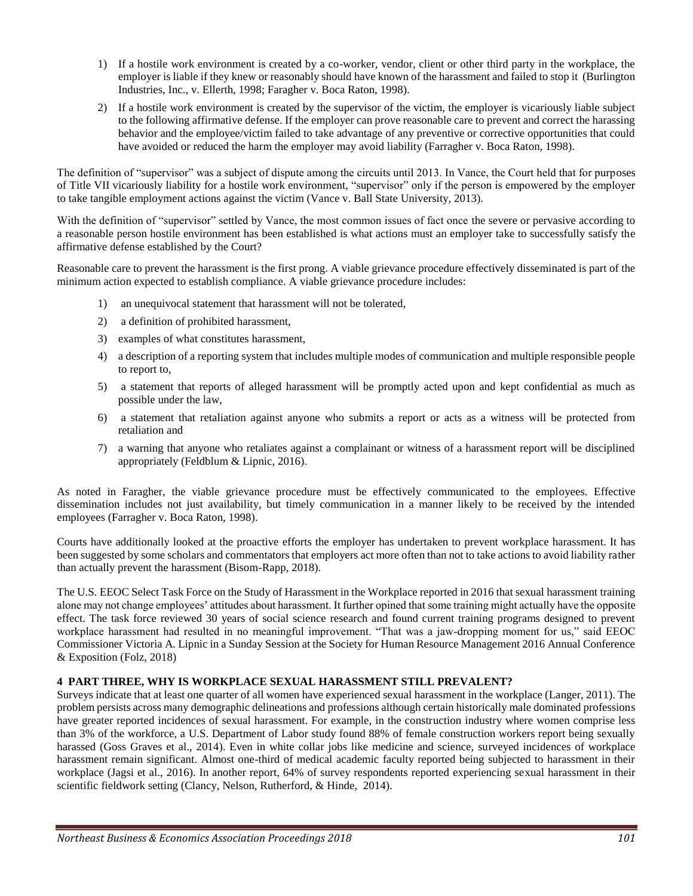- 1) If a hostile work environment is created by a co-worker, vendor, client or other third party in the workplace, the employer is liable if they knew or reasonably should have known of the harassment and failed to stop it (Burlington Industries, Inc., v. Ellerth, 1998; Faragher v. Boca Raton, 1998).
- 2) If a hostile work environment is created by the supervisor of the victim, the employer is vicariously liable subject to the following affirmative defense. If the employer can prove reasonable care to prevent and correct the harassing behavior and the employee/victim failed to take advantage of any preventive or corrective opportunities that could have avoided or reduced the harm the employer may avoid liability (Farragher v. Boca Raton, 1998).

The definition of "supervisor" was a subject of dispute among the circuits until 2013. In Vance, the Court held that for purposes of Title VII vicariously liability for a hostile work environment, "supervisor" only if the person is empowered by the employer to take tangible employment actions against the victim (Vance v. Ball State University, 2013).

With the definition of "supervisor" settled by Vance, the most common issues of fact once the severe or pervasive according to a reasonable person hostile environment has been established is what actions must an employer take to successfully satisfy the affirmative defense established by the Court?

Reasonable care to prevent the harassment is the first prong. A viable grievance procedure effectively disseminated is part of the minimum action expected to establish compliance. A viable grievance procedure includes:

- 1) an unequivocal statement that harassment will not be tolerated,
- 2) a definition of prohibited harassment,
- 3) examples of what constitutes harassment,
- 4) a description of a reporting system that includes multiple modes of communication and multiple responsible people to report to,
- 5) a statement that reports of alleged harassment will be promptly acted upon and kept confidential as much as possible under the law,
- 6) a statement that retaliation against anyone who submits a report or acts as a witness will be protected from retaliation and
- 7) a warning that anyone who retaliates against a complainant or witness of a harassment report will be disciplined appropriately (Feldblum & Lipnic, 2016).

As noted in Faragher, the viable grievance procedure must be effectively communicated to the employees. Effective dissemination includes not just availability, but timely communication in a manner likely to be received by the intended employees (Farragher v. Boca Raton, 1998).

Courts have additionally looked at the proactive efforts the employer has undertaken to prevent workplace harassment. It has been suggested by some scholars and commentators that employers act more often than not to take actions to avoid liability rather than actually prevent the harassment (Bisom-Rapp, 2018).

The U.S. EEOC Select Task Force on the Study of Harassment in the Workplace reported in 2016 that sexual harassment training alone may not change employees' attitudes about harassment. It further opined that some training might actually have the opposite effect. The task force reviewed 30 years of social science research and found current training programs designed to prevent workplace harassment had resulted in no meaningful improvement. "That was a jaw-dropping moment for us," said EEOC Commissioner Victoria A. Lipnic in a Sunday Session at the Society for Human Resource Management 2016 Annual Conference & Exposition (Folz, 2018)

#### **4 PART THREE, WHY IS WORKPLACE SEXUAL HARASSMENT STILL PREVALENT?**

Surveys indicate that at least one quarter of all women have experienced sexual harassment in the workplace (Langer, 2011). The problem persists across many demographic delineations and professions although certain historically male dominated professions have greater reported incidences of sexual harassment. For example, in the construction industry where women comprise less than 3% of the workforce, a U.S. Department of Labor study found 88% of female construction workers report being sexually harassed (Goss Graves et al., 2014). Even in white collar jobs like medicine and science, surveyed incidences of workplace harassment remain significant. Almost one-third of medical academic faculty reported being subjected to harassment in their workplace (Jagsi et al., 2016). In another report, 64% of survey respondents reported experiencing sexual harassment in their scientific fieldwork setting (Clancy, Nelson, Rutherford, & Hinde, 2014).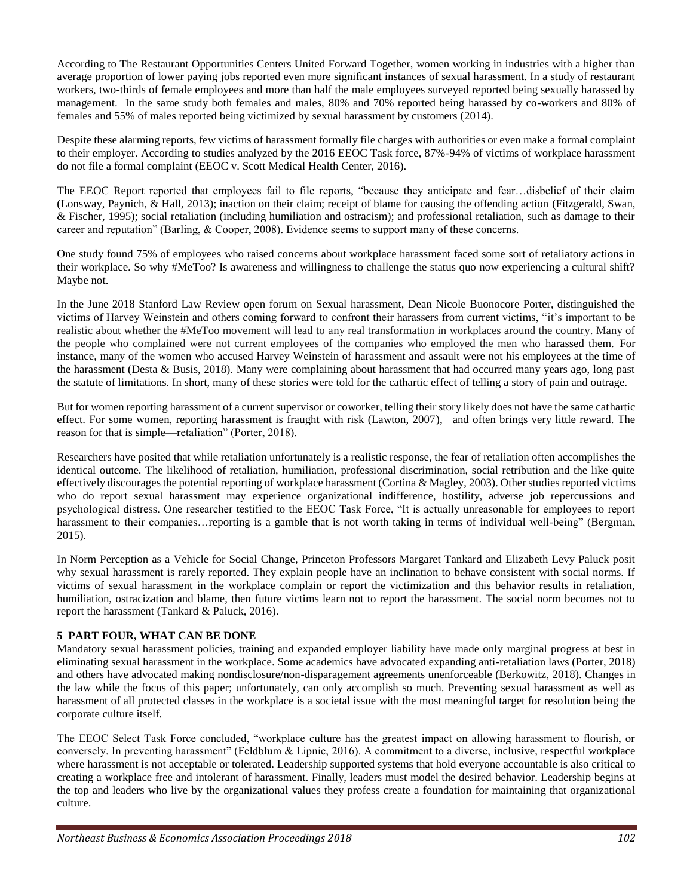According to The Restaurant Opportunities Centers United Forward Together, women working in industries with a higher than average proportion of lower paying jobs reported even more significant instances of sexual harassment. In a study of restaurant workers, two-thirds of female employees and more than half the male employees surveyed reported being sexually harassed by management. In the same study both females and males, 80% and 70% reported being harassed by co-workers and 80% of females and 55% of males reported being victimized by sexual harassment by customers (2014).

Despite these alarming reports, few victims of harassment formally file charges with authorities or even make a formal complaint to their employer. According to studies analyzed by the 2016 EEOC Task force, 87%-94% of victims of workplace harassment do not file a formal complaint (EEOC v. Scott Medical Health Center, 2016).

The EEOC Report reported that employees fail to file reports, "because they anticipate and fear…disbelief of their claim (Lonsway, Paynich, & Hall, 2013); inaction on their claim; receipt of blame for causing the offending action (Fitzgerald, Swan, & Fischer, 1995); social retaliation (including humiliation and ostracism); and professional retaliation, such as damage to their career and reputation" (Barling, & Cooper, 2008). Evidence seems to support many of these concerns.

One study found 75% of employees who raised concerns about workplace harassment faced some sort of retaliatory actions in their workplace. So why #MeToo? Is awareness and willingness to challenge the status quo now experiencing a cultural shift? Maybe not.

In the June 2018 Stanford Law Review open forum on Sexual harassment, Dean Nicole Buonocore Porter, distinguished the victims of Harvey Weinstein and others coming forward to confront their harassers from current victims, "it's important to be realistic about whether the #MeToo movement will lead to any real transformation in workplaces around the country. Many of the people who complained were not current employees of the companies who employed the men who harassed them. For instance, many of the women who accused Harvey Weinstein of harassment and assault were not his employees at the time of the harassment (Desta & Busis, 2018). Many were complaining about harassment that had occurred many years ago, long past the statute of limitations. In short, many of these stories were told for the cathartic effect of telling a story of pain and outrage.

But for women reporting harassment of a current supervisor or coworker, telling their story likely does not have the same cathartic effect. For some women, reporting harassment is fraught with risk (Lawton, 2007), and often brings very little reward. The reason for that is simple—retaliation" (Porter, 2018).

Researchers have posited that while retaliation unfortunately is a realistic response, the fear of retaliation often accomplishes the identical outcome. The likelihood of retaliation, humiliation, professional discrimination, social retribution and the like quite effectively discourages the potential reporting of workplace harassment (Cortina & Magley, 2003). Other studies reported victims who do report sexual harassment may experience organizational indifference, hostility, adverse job repercussions and psychological distress. One researcher testified to the EEOC Task Force, "It is actually unreasonable for employees to report harassment to their companies... reporting is a gamble that is not worth taking in terms of individual well-being" (Bergman, 2015).

In Norm Perception as a Vehicle for Social Change, Princeton Professors Margaret Tankard and Elizabeth Levy Paluck posit why sexual harassment is rarely reported. They explain people have an inclination to behave consistent with social norms. If victims of sexual harassment in the workplace complain or report the victimization and this behavior results in retaliation, humiliation, ostracization and blame, then future victims learn not to report the harassment. The social norm becomes not to report the harassment (Tankard & Paluck, 2016).

#### **5 PART FOUR, WHAT CAN BE DONE**

Mandatory sexual harassment policies, training and expanded employer liability have made only marginal progress at best in eliminating sexual harassment in the workplace. Some academics have advocated expanding anti-retaliation laws (Porter, 2018) and others have advocated making nondisclosure/non-disparagement agreements unenforceable (Berkowitz, 2018). Changes in the law while the focus of this paper; unfortunately, can only accomplish so much. Preventing sexual harassment as well as harassment of all protected classes in the workplace is a societal issue with the most meaningful target for resolution being the corporate culture itself.

The EEOC Select Task Force concluded, "workplace culture has the greatest impact on allowing harassment to flourish, or conversely. In preventing harassment" (Feldblum & Lipnic, 2016). A commitment to a diverse, inclusive, respectful workplace where harassment is not acceptable or tolerated. Leadership supported systems that hold everyone accountable is also critical to creating a workplace free and intolerant of harassment. Finally, leaders must model the desired behavior. Leadership begins at the top and leaders who live by the organizational values they profess create a foundation for maintaining that organizational culture.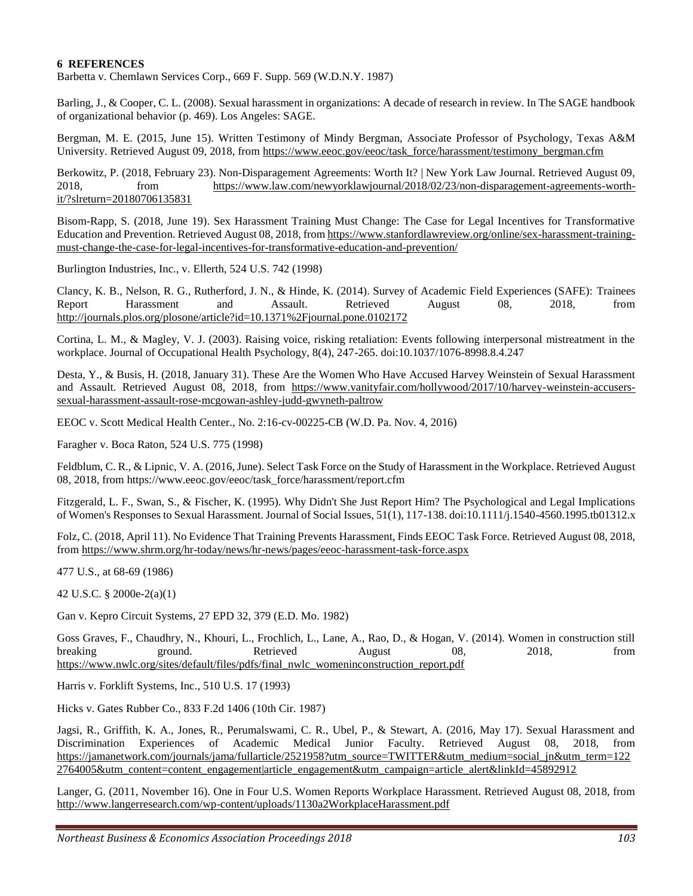#### **6 REFERENCES**

Barbetta v. Chemlawn Services Corp., 669 F. Supp. 569 (W.D.N.Y. 1987)

Barling, J., & Cooper, C. L. (2008). Sexual harassment in organizations: A decade of research in review. In The SAGE handbook of organizational behavior (p. 469). Los Angeles: SAGE.

Bergman, M. E. (2015, June 15). Written Testimony of Mindy Bergman, Associate Professor of Psychology, Texas A&M University. Retrieved August 09, 2018, from https://www.eeoc.gov/eeoc/task\_force/harassment/testimony\_bergman.cfm

Berkowitz, P. (2018, February 23). Non-Disparagement Agreements: Worth It? | New York Law Journal. Retrieved August 09, 2018, from https://www.law.com/newyorklawjournal/2018/02/23/non-disparagement-agreements-worthit/?slreturn=20180706135831

Bisom-Rapp, S. (2018, June 19). Sex Harassment Training Must Change: The Case for Legal Incentives for Transformative Education and Prevention. Retrieved August 08, 2018, from https://www.stanfordlawreview.org/online/sex-harassment-trainingmust-change-the-case-for-legal-incentives-for-transformative-education-and-prevention/

Burlington Industries, Inc., v. Ellerth, 524 U.S. 742 (1998)

Clancy, K. B., Nelson, R. G., Rutherford, J. N., & Hinde, K. (2014). Survey of Academic Field Experiences (SAFE): Trainees Report Harassment and Assault. Retrieved August 08, 2018, from http://journals.plos.org/plosone/article?id=10.1371%2Fjournal.pone.0102172

Cortina, L. M., & Magley, V. J. (2003). Raising voice, risking retaliation: Events following interpersonal mistreatment in the workplace. Journal of Occupational Health Psychology, 8(4), 247-265. doi:10.1037/1076-8998.8.4.247

Desta, Y., & Busis, H. (2018, January 31). These Are the Women Who Have Accused Harvey Weinstein of Sexual Harassment and Assault. Retrieved August 08, 2018, from https://www.vanityfair.com/hollywood/2017/10/harvey-weinstein-accuserssexual-harassment-assault-rose-mcgowan-ashley-judd-gwyneth-paltrow

EEOC v. Scott Medical Health Center., No. 2:16-cv-00225-CB (W.D. Pa. Nov. 4, 2016)

Faragher v. Boca Raton, 524 U.S. 775 (1998)

Feldblum, C. R., & Lipnic, V. A. (2016, June). Select Task Force on the Study of Harassment in the Workplace. Retrieved August 08, 2018, from https://www.eeoc.gov/eeoc/task\_force/harassment/report.cfm

Fitzgerald, L. F., Swan, S., & Fischer, K. (1995). Why Didn't She Just Report Him? The Psychological and Legal Implications of Women's Responses to Sexual Harassment. Journal of Social Issues, 51(1), 117-138. doi:10.1111/j.1540-4560.1995.tb01312.x

Folz, C. (2018, April 11). No Evidence That Training Prevents Harassment, Finds EEOC Task Force. Retrieved August 08, 2018, from https://www.shrm.org/hr-today/news/hr-news/pages/eeoc-harassment-task-force.aspx

477 U.S., at 68-69 (1986)

42 U.S.C. § 2000e-2(a)(1)

Gan v. Kepro Circuit Systems, 27 EPD 32, 379 (E.D. Mo. 1982)

Goss Graves, F., Chaudhry, N., Khouri, L., Frochlich, L., Lane, A., Rao, D., & Hogan, V. (2014). Women in construction still breaking ground. Retrieved August 08, 2018, from https://www.nwlc.org/sites/default/files/pdfs/final\_nwlc\_womeninconstruction\_report.pdf

Harris v. Forklift Systems, Inc., 510 U.S. 17 (1993)

Hicks v. Gates Rubber Co., 833 F.2d 1406 (10th Cir. 1987)

Jagsi, R., Griffith, K. A., Jones, R., Perumalswami, C. R., Ubel, P., & Stewart, A. (2016, May 17). Sexual Harassment and Discrimination Experiences of Academic Medical Junior Faculty. Retrieved August 08, 2018, from https://jamanetwork.com/journals/jama/fullarticle/2521958?utm\_source=TWITTER&utm\_medium=social\_jn&utm\_term=122 2764005&utm\_content=content\_engagement|article\_engagement&utm\_campaign=article\_alert&linkId=45892912

Langer, G. (2011, November 16). One in Four U.S. Women Reports Workplace Harassment. Retrieved August 08, 2018, from http://www.langerresearch.com/wp-content/uploads/1130a2WorkplaceHarassment.pdf